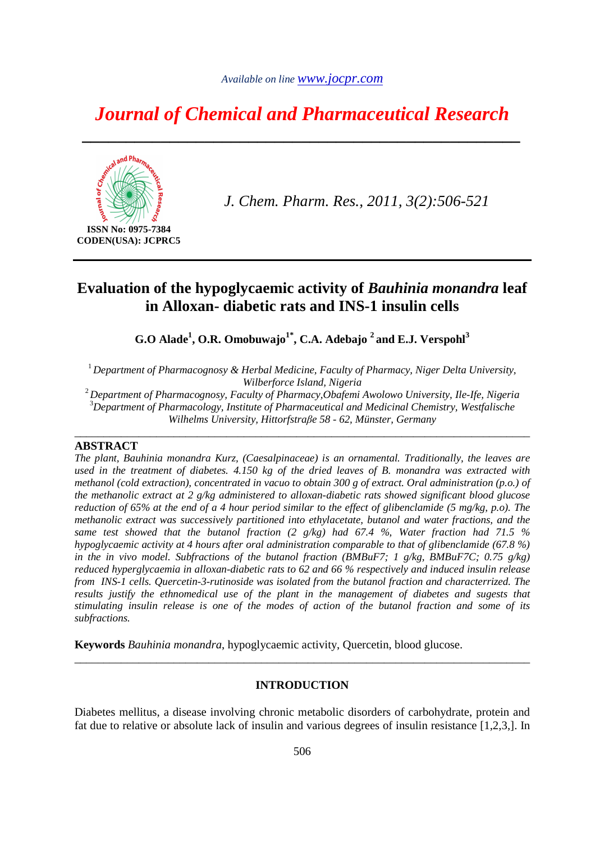*Journal of Chemical and Pharmaceutical Research* 

*\_\_\_\_\_\_\_\_\_\_\_\_\_\_\_\_\_\_\_\_\_\_\_\_\_\_\_\_\_\_\_\_\_\_\_\_\_\_\_\_\_\_\_\_\_\_\_\_\_\_* 



*J. Chem. Pharm. Res., 2011, 3(2):506-521*

# **Evaluation of the hypoglycaemic activity of** *Bauhinia monandra* **leaf in Alloxan- diabetic rats and INS-1 insulin cells**

**G.O Alade<sup>1</sup> , O.R. Omobuwajo1\*, C.A. Adebajo <sup>2</sup>and E.J. Verspohl<sup>3</sup>**

<sup>1</sup>*Department of Pharmacognosy & Herbal Medicine, Faculty of Pharmacy, Niger Delta University, Wilberforce Island, Nigeria* 

<sup>2</sup>*Department of Pharmacognosy, Faculty of Pharmacy,Obafemi Awolowo University, Ile-Ife, Nigeria*  <sup>3</sup>*Department of Pharmacology, Institute of Pharmaceutical and Medicinal Chemistry, Westfalische Wilhelms University, Hittorfstraβe 58 - 62, Münster, Germany*

*\_\_\_\_\_\_\_\_\_\_\_\_\_\_\_\_\_\_\_\_\_\_\_\_\_\_\_\_\_\_\_\_\_\_\_\_\_\_\_\_\_\_\_\_\_\_\_\_\_\_\_\_\_\_\_\_\_\_\_\_\_\_\_\_\_\_\_\_\_\_\_\_\_\_\_\_\_\_*

# **ABSTRACT**

*The plant, Bauhinia monandra Kurz, (Caesalpinaceae) is an ornamental. Traditionally, the leaves are used in the treatment of diabetes. 4.150 kg of the dried leaves of B. monandra was extracted with methanol (cold extraction), concentrated in vacuo to obtain 300 g of extract. Oral administration (p.o.) of the methanolic extract at 2 g/kg administered to alloxan-diabetic rats showed significant blood glucose reduction of 65% at the end of a 4 hour period similar to the effect of glibenclamide (5 mg/kg, p.o). The methanolic extract was successively partitioned into ethylacetate, butanol and water fractions, and the same test showed that the butanol fraction (2 g/kg) had 67.4 %, Water fraction had 71.5 % hypoglycaemic activity at 4 hours after oral administration comparable to that of glibenclamide (67.8 %) in the in vivo model. Subfractions of the butanol fraction (BMBuF7; 1 g/kg, BMBuF7C; 0.75 g/kg) reduced hyperglycaemia in alloxan-diabetic rats to 62 and 66 % respectively and induced insulin release from INS-1 cells. Quercetin-3-rutinoside was isolated from the butanol fraction and characterrized. The results justify the ethnomedical use of the plant in the management of diabetes and sugests that stimulating insulin release is one of the modes of action of the butanol fraction and some of its subfractions.* 

**Keywords** *Bauhinia monandra*, hypoglycaemic activity, Quercetin, blood glucose.

# **INTRODUCTION**

*\_\_\_\_\_\_\_\_\_\_\_\_\_\_\_\_\_\_\_\_\_\_\_\_\_\_\_\_\_\_\_\_\_\_\_\_\_\_\_\_\_\_\_\_\_\_\_\_\_\_\_\_\_\_\_\_\_\_\_\_\_\_\_\_\_\_\_\_\_\_\_\_\_\_\_\_\_\_*

Diabetes mellitus, a disease involving chronic metabolic disorders of carbohydrate, protein and fat due to relative or absolute lack of insulin and various degrees of insulin resistance [1,2,3,]. In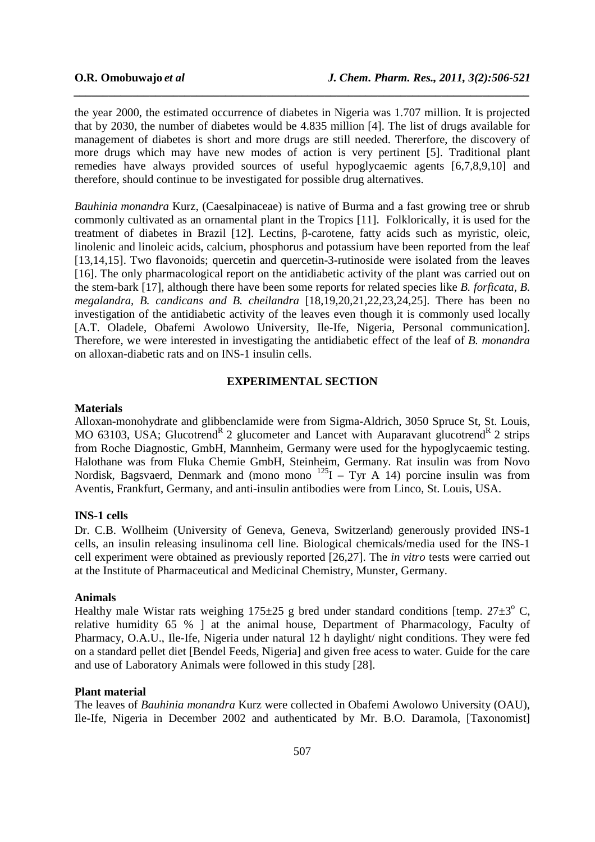the year 2000, the estimated occurrence of diabetes in Nigeria was 1.707 million. It is projected that by 2030, the number of diabetes would be 4.835 million [4]. The list of drugs available for management of diabetes is short and more drugs are still needed. Thererfore, the discovery of more drugs which may have new modes of action is very pertinent [5]. Traditional plant remedies have always provided sources of useful hypoglycaemic agents [6,7,8,9,10] and therefore, should continue to be investigated for possible drug alternatives.

*\_\_\_\_\_\_\_\_\_\_\_\_\_\_\_\_\_\_\_\_\_\_\_\_\_\_\_\_\_\_\_\_\_\_\_\_\_\_\_\_\_\_\_\_\_\_\_\_\_\_\_\_\_\_\_\_\_\_\_\_\_\_\_\_\_\_\_\_\_\_\_\_\_\_\_\_\_\_*

*Bauhinia monandra* Kurz, (Caesalpinaceae) is native of Burma and a fast growing tree or shrub commonly cultivated as an ornamental plant in the Tropics [11]. Folklorically, it is used for the treatment of diabetes in Brazil [12]. Lectins, β-carotene, fatty acids such as myristic, oleic, linolenic and linoleic acids, calcium, phosphorus and potassium have been reported from the leaf [13,14,15]. Two flavonoids; quercetin and quercetin-3-rutinoside were isolated from the leaves [16]. The only pharmacological report on the antidiabetic activity of the plant was carried out on the stem-bark [17], although there have been some reports for related species like *B. forficata, B. megalandra, B. candicans and B. cheilandra* [18,19,20,21,22,23,24,25]. There has been no investigation of the antidiabetic activity of the leaves even though it is commonly used locally [A.T. Oladele, Obafemi Awolowo University, Ile-Ife, Nigeria, Personal communication]. Therefore, we were interested in investigating the antidiabetic effect of the leaf of *B. monandra* on alloxan-diabetic rats and on INS-1 insulin cells.

## **EXPERIMENTAL SECTION**

### **Materials**

Alloxan-monohydrate and glibbenclamide were from Sigma-Aldrich, 3050 Spruce St, St. Louis, MO 63103, USA; Glucotrend<sup>R</sup> 2 glucometer and Lancet with Auparavant glucotrend<sup>R</sup> 2 strips from Roche Diagnostic, GmbH, Mannheim, Germany were used for the hypoglycaemic testing. Halothane was from Fluka Chemie GmbH, Steinheim, Germany. Rat insulin was from Novo Nordisk, Bagsvaerd, Denmark and (mono mono  $^{125}I$  – Tyr A 14) porcine insulin was from Aventis, Frankfurt, Germany, and anti-insulin antibodies were from Linco, St. Louis, USA.

### **INS-1 cells**

Dr. C.B. Wollheim (University of Geneva, Geneva, Switzerland) generously provided INS-1 cells, an insulin releasing insulinoma cell line. Biological chemicals/media used for the INS-1 cell experiment were obtained as previously reported [26,27]. The *in vitro* tests were carried out at the Institute of Pharmaceutical and Medicinal Chemistry, Munster, Germany.

### **Animals**

Healthy male Wistar rats weighing  $175\pm 25$  g bred under standard conditions [temp.  $27\pm 3^{\circ}$  C, relative humidity 65 % ] at the animal house, Department of Pharmacology, Faculty of Pharmacy, O.A.U., Ile-Ife, Nigeria under natural 12 h daylight/ night conditions. They were fed on a standard pellet diet [Bendel Feeds, Nigeria] and given free acess to water. Guide for the care and use of Laboratory Animals were followed in this study [28].

### **Plant material**

The leaves of *Bauhinia monandra* Kurz were collected in Obafemi Awolowo University (OAU), Ile-Ife, Nigeria in December 2002 and authenticated by Mr. B.O. Daramola, [Taxonomist]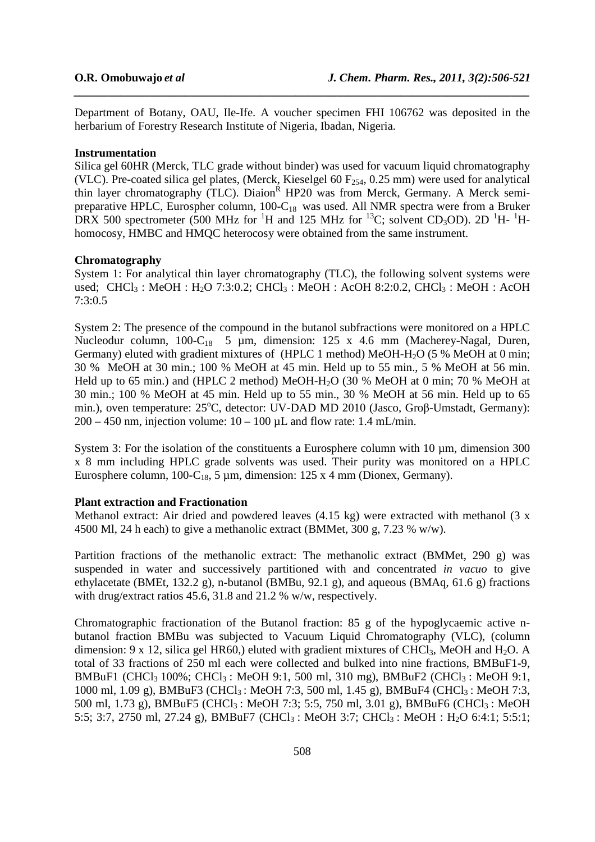Department of Botany, OAU, Ile-Ife. A voucher specimen FHI 106762 was deposited in the herbarium of Forestry Research Institute of Nigeria, Ibadan, Nigeria.

*\_\_\_\_\_\_\_\_\_\_\_\_\_\_\_\_\_\_\_\_\_\_\_\_\_\_\_\_\_\_\_\_\_\_\_\_\_\_\_\_\_\_\_\_\_\_\_\_\_\_\_\_\_\_\_\_\_\_\_\_\_\_\_\_\_\_\_\_\_\_\_\_\_\_\_\_\_\_*

## **Instrumentation**

Silica gel 60HR (Merck, TLC grade without binder) was used for vacuum liquid chromatography (VLC). Pre-coated silica gel plates, (Merck, Kieselgel 60  $F_{254}$ , 0.25 mm) were used for analytical thin layer chromatography (TLC). Diaion<sup>R</sup> HP20 was from Merck, Germany. A Merck semipreparative HPLC, Eurospher column, 100-C<sub>18</sub> was used. All NMR spectra were from a Bruker DRX 500 spectrometer (500 MHz for  ${}^{1}H$  and 125 MHz for  ${}^{13}C$ ; solvent CD<sub>3</sub>OD). 2D  ${}^{1}H$ - ${}^{1}H$ homocosy, HMBC and HMQC heterocosy were obtained from the same instrument.

### **Chromatography**

System 1: For analytical thin layer chromatography (TLC), the following solvent systems were used; CHCl<sub>3</sub> : MeOH : H<sub>2</sub>O 7:3:0.2; CHCl<sub>3</sub> : MeOH : AcOH 8:2:0.2, CHCl<sub>3</sub> : MeOH : AcOH 7:3:0.5

System 2: The presence of the compound in the butanol subfractions were monitored on a HPLC Nucleodur column,  $100-C_{18}$  5 µm, dimension: 125 x 4.6 mm (Macherey-Nagal, Duren, Germany) eluted with gradient mixtures of (HPLC 1 method) MeOH-H<sub>2</sub>O (5 % MeOH at 0 min; 30 % MeOH at 30 min.; 100 % MeOH at 45 min. Held up to 55 min., 5 % MeOH at 56 min. Held up to 65 min.) and (HPLC 2 method) MeOH-H<sub>2</sub>O (30 % MeOH at 0 min; 70 % MeOH at 30 min.; 100 % MeOH at 45 min. Held up to 55 min., 30 % MeOH at 56 min. Held up to 65 min.), oven temperature: 25<sup>°</sup>C, detector: UV-DAD MD 2010 (Jasco, Groβ-Umstadt, Germany):  $200 - 450$  nm, injection volume:  $10 - 100$   $\mu$ L and flow rate: 1.4 mL/min.

System 3: For the isolation of the constituents a Eurosphere column with 10  $\mu$ m, dimension 300 x 8 mm including HPLC grade solvents was used. Their purity was monitored on a HPLC Eurosphere column, 100-C<sub>18</sub>, 5 µm, dimension: 125 x 4 mm (Dionex, Germany).

### **Plant extraction and Fractionation**

Methanol extract: Air dried and powdered leaves (4.15 kg) were extracted with methanol (3 x 4500 Ml, 24 h each) to give a methanolic extract (BMMet, 300 g, 7.23 % w/w).

Partition fractions of the methanolic extract: The methanolic extract (BMMet, 290 g) was suspended in water and successively partitioned with and concentrated *in vacuo* to give ethylacetate (BMEt, 132.2 g), n-butanol (BMBu, 92.1 g), and aqueous (BMAq, 61.6 g) fractions with drug/extract ratios 45.6, 31.8 and 21.2 % w/w, respectively.

Chromatographic fractionation of the Butanol fraction: 85 g of the hypoglycaemic active nbutanol fraction BMBu was subjected to Vacuum Liquid Chromatography (VLC), (column dimension: 9 x 12, silica gel HR60,) eluted with gradient mixtures of CHCl<sub>3</sub>, MeOH and H<sub>2</sub>O. A total of 33 fractions of 250 ml each were collected and bulked into nine fractions, BMBuF1-9, BMBuF1 (CHCl<sub>3</sub> 100%; CHCl<sub>3</sub>: MeOH 9:1, 500 ml, 310 mg), BMBuF2 (CHCl<sub>3</sub>: MeOH 9:1, 1000 ml, 1.09 g), BMBuF3 (CHCl<sub>3</sub>: MeOH 7:3, 500 ml, 1.45 g), BMBuF4 (CHCl<sub>3</sub>: MeOH 7:3, 500 ml, 1.73 g), BMBuF5 (CHCl<sub>3</sub>: MeOH 7:3; 5:5, 750 ml, 3.01 g), BMBuF6 (CHCl<sub>3</sub>: MeOH 5:5; 3:7, 2750 ml, 27.24 g), BMBuF7 (CHCl<sub>3</sub>: MeOH 3:7; CHCl<sub>3</sub>: MeOH : H<sub>2</sub>O 6:4:1; 5:5:1;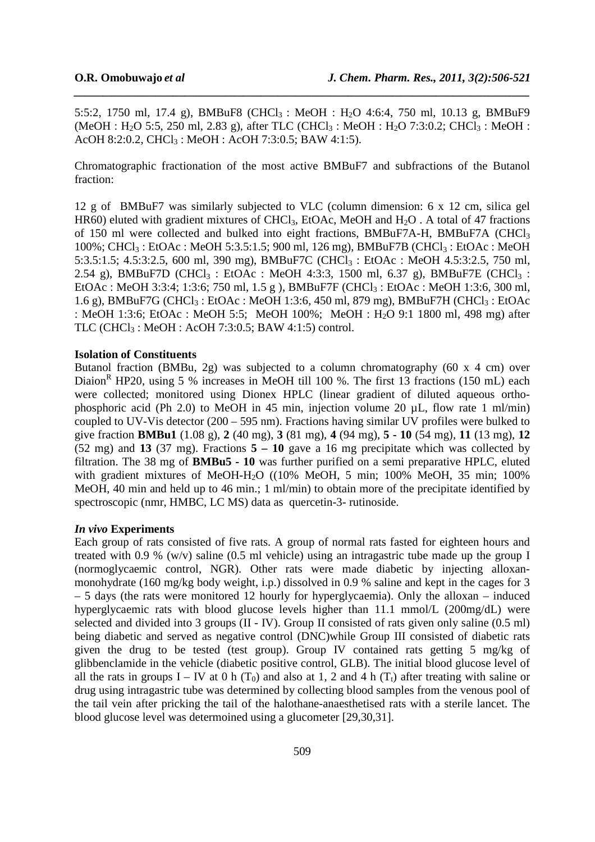5:5:2, 1750 ml, 17.4 g), BMBuF8 (CHCl<sub>3</sub> : MeOH : H<sub>2</sub>O 4:6:4, 750 ml, 10.13 g, BMBuF9  $(MeOH : H<sub>2</sub>O 5:5, 250 ml, 2.83 g)$ , after TLC  $(CHCl<sub>3</sub> : MeOH : H<sub>2</sub>O 7:3:0.2; CHCl<sub>3</sub> : MeOH :$ AcOH 8:2:0.2, CHCl3 : MeOH : AcOH 7:3:0.5; BAW 4:1:5).

*\_\_\_\_\_\_\_\_\_\_\_\_\_\_\_\_\_\_\_\_\_\_\_\_\_\_\_\_\_\_\_\_\_\_\_\_\_\_\_\_\_\_\_\_\_\_\_\_\_\_\_\_\_\_\_\_\_\_\_\_\_\_\_\_\_\_\_\_\_\_\_\_\_\_\_\_\_\_*

Chromatographic fractionation of the most active BMBuF7 and subfractions of the Butanol fraction:

12 g of BMBuF7 was similarly subjected to VLC (column dimension: 6 x 12 cm, silica gel HR60) eluted with gradient mixtures of CHCl<sub>3</sub>, EtOAc, MeOH and H<sub>2</sub>O . A total of 47 fractions of 150 ml were collected and bulked into eight fractions, BMBuF7A-H, BMBuF7A (CHCl<sup>3</sup> 100%; CHCl3 : EtOAc : MeOH 5:3.5:1.5; 900 ml, 126 mg), BMBuF7B (CHCl3 : EtOAc : MeOH 5:3.5:1.5: 4.5:3:2.5, 600 ml, 390 mg), BMBuF7C (CHCl<sub>3</sub> : EtOAc : MeOH 4.5:3:2.5, 750 ml, 2.54 g), BMBuF7D (CHCl<sub>3</sub>: EtOAc: MeOH 4:3:3, 1500 ml, 6.37 g), BMBuF7E (CHCl<sub>3</sub>: EtOAc : MeOH 3:3:4; 1:3:6; 750 ml, 1.5 g), BMBuF7F (CHCl<sub>3</sub> : EtOAc : MeOH 1:3:6, 300 ml, 1.6 g), BMBuF7G (CHCl<sub>3</sub>: EtOAc: MeOH 1:3:6, 450 ml, 879 mg), BMBuF7H (CHCl<sub>3</sub>: EtOAc : MeOH 1:3:6; EtOAc : MeOH 5:5; MeOH 100%; MeOH : H<sub>2</sub>O 9:1 1800 ml, 498 mg) after TLC (CHCl<sub>3</sub>: MeOH: AcOH 7:3:0.5; BAW 4:1:5) control.

# **Isolation of Constituents**

Butanol fraction (BMBu, 2g) was subjected to a column chromatography (60 x 4 cm) over Diaion<sup>R</sup> HP20, using 5 % increases in MeOH till 100 %. The first 13 fractions (150 mL) each were collected; monitored using Dionex HPLC (linear gradient of diluted aqueous orthophosphoric acid (Ph 2.0) to MeOH in 45 min, injection volume 20 µL, flow rate 1 ml/min) coupled to UV-Vis detector (200 – 595 nm). Fractions having similar UV profiles were bulked to give fraction **BMBu1** (1.08 g), **2** (40 mg), **3** (81 mg), **4** (94 mg), **5 - 10** (54 mg), **11** (13 mg), **12** (52 mg) and **13** (37 mg). Fractions **5 – 10** gave a 16 mg precipitate which was collected by filtration. The 38 mg of **BMBu5 - 10** was further purified on a semi preparative HPLC, eluted with gradient mixtures of MeOH-H<sub>2</sub>O ((10% MeOH, 5 min; 100% MeOH, 35 min; 100% MeOH, 40 min and held up to 46 min.; 1 ml/min) to obtain more of the precipitate identified by spectroscopic (nmr, HMBC, LC MS) data as quercetin-3- rutinoside.

## *In vivo* **Experiments**

Each group of rats consisted of five rats. A group of normal rats fasted for eighteen hours and treated with 0.9 % (w/v) saline (0.5 ml vehicle) using an intragastric tube made up the group I (normoglycaemic control, NGR). Other rats were made diabetic by injecting alloxanmonohydrate (160 mg/kg body weight, i.p.) dissolved in 0.9 % saline and kept in the cages for 3 – 5 days (the rats were monitored 12 hourly for hyperglycaemia). Only the alloxan – induced hyperglycaemic rats with blood glucose levels higher than 11.1 mmol/L (200mg/dL) were selected and divided into 3 groups (II - IV). Group II consisted of rats given only saline (0.5 ml) being diabetic and served as negative control (DNC)while Group III consisted of diabetic rats given the drug to be tested (test group). Group IV contained rats getting 5 mg/kg of glibbenclamide in the vehicle (diabetic positive control, GLB). The initial blood glucose level of all the rats in groups I – IV at 0 h  $(T_0)$  and also at 1, 2 and 4 h  $(T_t)$  after treating with saline or drug using intragastric tube was determined by collecting blood samples from the venous pool of the tail vein after pricking the tail of the halothane-anaesthetised rats with a sterile lancet. The blood glucose level was determoined using a glucometer [29,30,31].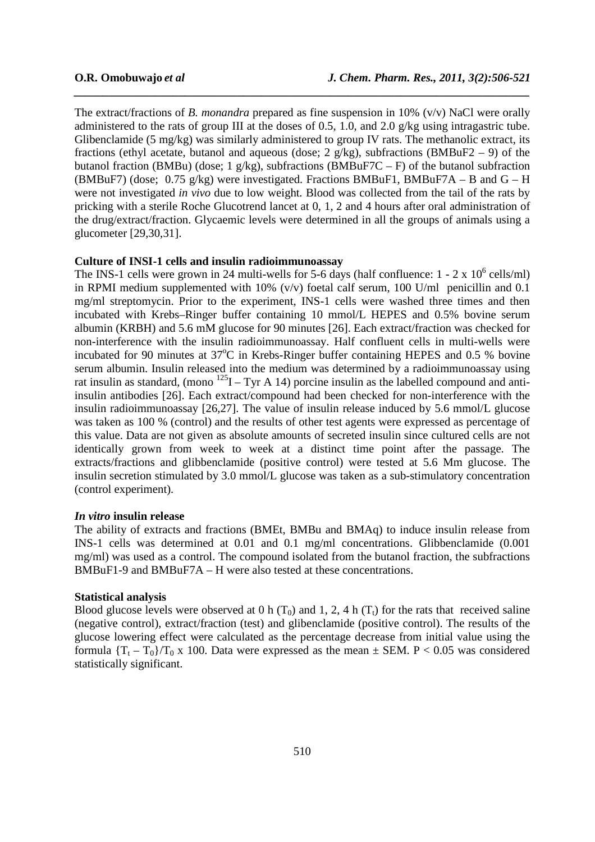The extract/fractions of *B. monandra* prepared as fine suspension in 10% (v/v) NaCl were orally administered to the rats of group III at the doses of 0.5, 1.0, and 2.0 g/kg using intragastric tube. Glibenclamide (5 mg/kg) was similarly administered to group IV rats. The methanolic extract, its fractions (ethyl acetate, butanol and aqueous (dose; 2 g/kg), subfractions (BMBuF2 – 9) of the butanol fraction (BMBu) (dose; 1 g/kg), subfractions (BMBuF7C – F) of the butanol subfraction (BMBuF7) (dose; 0.75 g/kg) were investigated. Fractions BMBuF1, BMBuF7A – B and G – H were not investigated *in vivo* due to low weight*.* Blood was collected from the tail of the rats by pricking with a sterile Roche Glucotrend lancet at 0, 1, 2 and 4 hours after oral administration of the drug/extract/fraction. Glycaemic levels were determined in all the groups of animals using a glucometer [29,30,31].

*\_\_\_\_\_\_\_\_\_\_\_\_\_\_\_\_\_\_\_\_\_\_\_\_\_\_\_\_\_\_\_\_\_\_\_\_\_\_\_\_\_\_\_\_\_\_\_\_\_\_\_\_\_\_\_\_\_\_\_\_\_\_\_\_\_\_\_\_\_\_\_\_\_\_\_\_\_\_*

### **Culture of INSI-1 cells and insulin radioimmunoassay**

The INS-1 cells were grown in 24 multi-wells for 5-6 days (half confluence:  $1 - 2 \times 10^6$  cells/ml) in RPMI medium supplemented with 10% (v/v) foetal calf serum, 100 U/ml penicillin and 0.1 mg/ml streptomycin. Prior to the experiment, INS-1 cells were washed three times and then incubated with Krebs–Ringer buffer containing 10 mmol/L HEPES and 0.5% bovine serum albumin (KRBH) and 5.6 mM glucose for 90 minutes [26]. Each extract/fraction was checked for non-interference with the insulin radioimmunoassay. Half confluent cells in multi-wells were incubated for 90 minutes at  $37^{\circ}$ C in Krebs-Ringer buffer containing HEPES and 0.5 % bovine serum albumin. Insulin released into the medium was determined by a radioimmunoassay using rat insulin as standard, (mono  $^{125}I$  – Tyr A 14) porcine insulin as the labelled compound and antiinsulin antibodies [26]. Each extract/compound had been checked for non-interference with the insulin radioimmunoassay [26,27]. The value of insulin release induced by 5.6 mmol/L glucose was taken as 100 % (control) and the results of other test agents were expressed as percentage of this value. Data are not given as absolute amounts of secreted insulin since cultured cells are not identically grown from week to week at a distinct time point after the passage. The extracts/fractions and glibbenclamide (positive control) were tested at 5.6 Mm glucose. The insulin secretion stimulated by 3.0 mmol/L glucose was taken as a sub-stimulatory concentration (control experiment).

### *In vitro* **insulin release**

The ability of extracts and fractions (BMEt, BMBu and BMAq) to induce insulin release from INS-1 cells was determined at 0.01 and 0.1 mg/ml concentrations. Glibbenclamide (0.001 mg/ml) was used as a control. The compound isolated from the butanol fraction, the subfractions BMBuF1-9 and BMBuF7A – H were also tested at these concentrations.

# **Statistical analysis**

Blood glucose levels were observed at 0 h  $(T_0)$  and 1, 2, 4 h  $(T_t)$  for the rats that received saline (negative control), extract/fraction (test) and glibenclamide (positive control). The results of the glucose lowering effect were calculated as the percentage decrease from initial value using the formula  $\{T_t - T_0\}/T_0$  x 100. Data were expressed as the mean  $\pm$  SEM. P < 0.05 was considered statistically significant.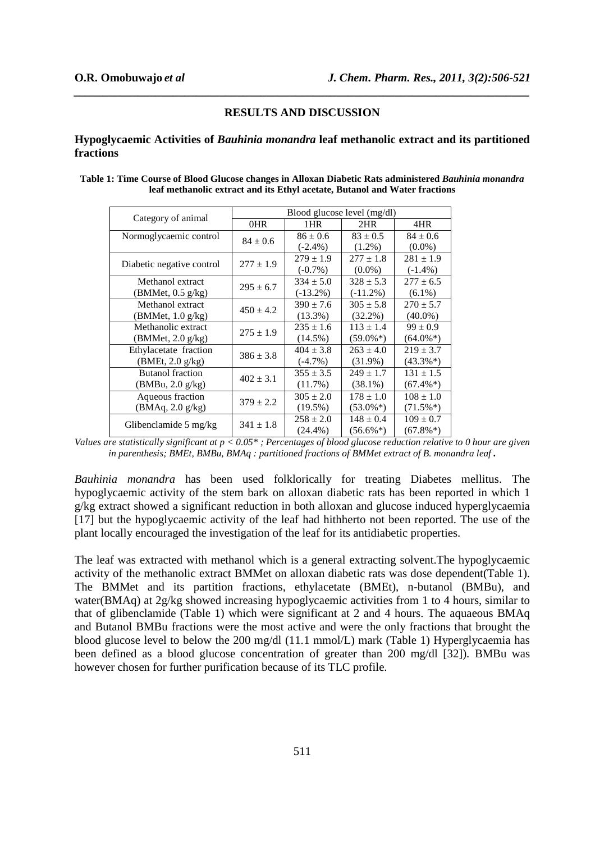### **RESULTS AND DISCUSSION**

*\_\_\_\_\_\_\_\_\_\_\_\_\_\_\_\_\_\_\_\_\_\_\_\_\_\_\_\_\_\_\_\_\_\_\_\_\_\_\_\_\_\_\_\_\_\_\_\_\_\_\_\_\_\_\_\_\_\_\_\_\_\_\_\_\_\_\_\_\_\_\_\_\_\_\_\_\_\_*

# **Hypoglycaemic Activities of** *Bauhinia monandra* **leaf methanolic extract and its partitioned fractions**

**Table 1: Time Course of Blood Glucose changes in Alloxan Diabetic Rats administered** *Bauhinia monandra* **leaf methanolic extract and its Ethyl acetate, Butanol and Water fractions** 

|                           | Blood glucose level (mg/dl) |               |               |               |
|---------------------------|-----------------------------|---------------|---------------|---------------|
| Category of animal        | 0HR                         | 1HR           | 2HR           | 4HR           |
| Normoglycaemic control    | $84 \pm 0.6$                | $86 \pm 0.6$  | $83 \pm 0.5$  | $84 \pm 0.6$  |
|                           |                             | $(-2.4\%)$    | $(1.2\%)$     | $(0.0\%)$     |
|                           | $277 \pm 1.9$               | $279 \pm 1.9$ | $277 \pm 1.8$ | $281 \pm 1.9$ |
| Diabetic negative control |                             | $(-0.7\%)$    | $(0.0\%)$     | $(-1.4\%)$    |
| Methanol extract          | $295 \pm 6.7$               | $334 \pm 5.0$ | $328 \pm 5.3$ | $277 \pm 6.5$ |
| (BMMet, 0.5 g/kg)         |                             | $(-13.2\%)$   | $(-11.2\%)$   | $(6.1\%)$     |
| Methanol extract          | $450 \pm 4.2$               | $390 \pm 7.6$ | $305 \pm 5.8$ | $270 \pm 5.7$ |
| (BMMet, 1.0 g/kg)         |                             | $(13.3\%)$    | $(32.2\%)$    | $(40.0\%)$    |
| Methanolic extract        | $275 \pm 1.9$               | $235 \pm 1.6$ | $113 \pm 1.4$ | $99 \pm 0.9$  |
| (BMMet, 2.0 g/kg)         |                             | $(14.5\%)$    | $(59.0\%*)$   | $(64.0\%*)$   |
| Ethylacetate fraction     | $386 \pm 3.8$               | $404 \pm 3.8$ | $263 \pm 4.0$ | $219 \pm 3.7$ |
| (BMEt, 2.0 g/kg)          |                             | $(-4.7%)$     | $(31.9\%)$    | $(43.3\%*)$   |
| <b>Butanol</b> fraction   |                             | $355 \pm 3.5$ | $249 \pm 1.7$ | $131 \pm 1.5$ |
| (BMBu, 2.0 g/kg)          | $402 \pm 3.1$               | $(11.7\%)$    | $(38.1\%)$    | $(67.4\%*)$   |
| Aqueous fraction          | $379 \pm 2.2$               | $305 \pm 2.0$ | $178 \pm 1.0$ | $108 \pm 1.0$ |
| (BMAq, 2.0 g/kg)          |                             | $(19.5\%)$    | $(53.0\%*)$   | $(71.5\%*)$   |
|                           | $341 \pm 1.8$               | $258 \pm 2.0$ | $148 \pm 0.4$ | $109 \pm 0.7$ |
| Glibenclamide 5 mg/kg     |                             | $(24.4\%)$    | $(56.6\%*)$   | $(67.8\%*)$   |

*Values are statistically significant at p < 0.05\* ; Percentages of blood glucose reduction relative to 0 hour are given in parenthesis; BMEt, BMBu, BMAq : partitioned fractions of BMMet extract of B. monandra leaf .* 

*Bauhinia monandra* has been used folklorically for treating Diabetes mellitus. The hypoglycaemic activity of the stem bark on alloxan diabetic rats has been reported in which 1 g/kg extract showed a significant reduction in both alloxan and glucose induced hyperglycaemia [17] but the hypoglycaemic activity of the leaf had hithherto not been reported. The use of the plant locally encouraged the investigation of the leaf for its antidiabetic properties.

The leaf was extracted with methanol which is a general extracting solvent.The hypoglycaemic activity of the methanolic extract BMMet on alloxan diabetic rats was dose dependent(Table 1). The BMMet and its partition fractions, ethylacetate (BMEt), n-butanol (BMBu), and water(BMAq) at 2g/kg showed increasing hypoglycaemic activities from 1 to 4 hours, similar to that of glibenclamide (Table 1) which were significant at 2 and 4 hours. The aquaeous BMAq and Butanol BMBu fractions were the most active and were the only fractions that brought the blood glucose level to below the 200 mg/dl (11.1 mmol/L) mark (Table 1) Hyperglycaemia has been defined as a blood glucose concentration of greater than 200 mg/dl [32]). BMBu was however chosen for further purification because of its TLC profile.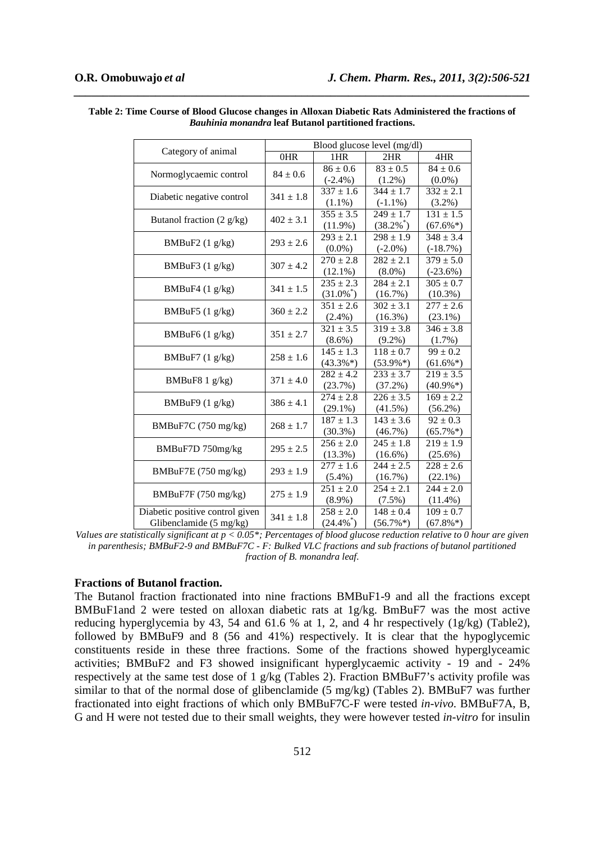| Category of animal              |                                                                          | Blood glucose level (mg/dl) |                          |                       |
|---------------------------------|--------------------------------------------------------------------------|-----------------------------|--------------------------|-----------------------|
|                                 | 0HR                                                                      | 1HR                         | 2HR                      | 4HR                   |
| Normoglycaemic control          | $84 \pm 0.6$                                                             | $86 \pm 0.6$                | $\overline{83} \pm 0.5$  | $84 \pm 0.6$          |
|                                 |                                                                          | $(-2.4\%)$                  | $(1.2\%)$                | $(0.0\%)$             |
| Diabetic negative control       | $341 \pm 1.8$                                                            | $337 \pm 1.6$               | $344 \pm 1.7$            | $332 \pm 2.1$         |
|                                 |                                                                          | $(1.1\%)$                   | $(-1.1\%)$               | $(3.2\%)$             |
| Butanol fraction (2 g/kg)       | $402 \pm 3.1$                                                            | $355 \pm 3.5$               | $249 \pm 1.7$            | $131 \pm 1.5$         |
|                                 |                                                                          | $(11.9\%)$                  | $(38.2\%^*)$             | $(67.6\%*)$           |
|                                 | $293 \pm 2.6$                                                            | $293 \pm 2.1$               | $298 \pm 1.9$            | $348 \pm 3.4$         |
| BMBuF2 $(1 g/kg)$               |                                                                          | $(0.0\%)$                   | $(-2.0\%)$               | $(-18.7%)$            |
|                                 |                                                                          | $270 \pm 2.8$               | $282 + 2.1$              | $379 \pm 5.0$         |
| BMBuF3 $(1 g/kg)$               | $307 \pm 4.2$                                                            | $(12.1\%)$                  | $(8.0\%)$                | $(-23.6%)$            |
|                                 |                                                                          | $235 \pm 2.3$               | $284 \pm 2.1$            | $305 \pm 0.7$         |
| BMBuF4 $(1 g/kg)$               | $341 \pm 1.5$                                                            | $(31.0\%$ <sup>*</sup> )    | $(16.7\%)$               | $(10.3\%)$            |
|                                 |                                                                          | $351 \pm 2.6$               | $302 \pm 3.1$            | $277 \pm 2.6$         |
| BMBuF5 $(1 g/kg)$               | $360 \pm 2.2$                                                            | $(2.4\%)$                   | (16.3%)                  | $(23.1\%)$            |
|                                 | $351 \pm 2.7$                                                            | $321 \pm 3.5$               | $319 \pm 3.8$            | $346 \pm 3.8$         |
| BMBuF6 $(1 g/kg)$               |                                                                          | $(8.6\%)$                   | $(9.2\%)$                | (1.7%)                |
|                                 | $258 \pm 1.6$                                                            | $145 \pm 1.3$               | $118 \pm 0.7$            | $99 \pm 0.2$          |
| BMBuF7 $(1 g/kg)$               |                                                                          | $(43.3\%*)$                 | $(53.9\%*)$              | $(61.6\%*)$           |
| BMBuF8 1 g/kg)                  | $371 \pm 4.0$                                                            | $282 \pm 4.2$               | $233 \pm 3.7$            | $219 \pm 3.5$         |
|                                 |                                                                          | (23.7%)                     | $(37.2\%)$               | $(40.9\%*)$           |
|                                 | $386 \pm 4.1$                                                            | $274 \pm 2.8$               | $\overline{226} \pm 3.5$ | $\frac{1}{169}$ ± 2.2 |
| BMBuF9 $(1 g/kg)$               |                                                                          | $(29.1\%)$                  | $(41.5\%)$               | $(56.2\%)$            |
|                                 | $187 \pm 1.3$<br>$143 \pm 3.6$<br>$268 \pm 1.7$<br>$(30.3\%)$<br>(46.7%) | $92 \pm 0.3$                |                          |                       |
| BMBuF7C (750 mg/kg)             |                                                                          |                             |                          | $(65.7\%*)$           |
| BMBuF7D 750mg/kg                | $295 \pm 2.5$                                                            | $256 \pm 2.0$               | $245 \pm 1.8$            | $219 \pm 1.9$         |
|                                 |                                                                          | $(13.3\%)$                  | $(16.6\%)$               | $(25.6\%)$            |
| BMBuF7E (750 mg/kg)             | $293 \pm 1.9$                                                            | $277 \pm 1.6$               | $244 \pm 2.5$            | $228 \pm 2.6$         |
|                                 |                                                                          | $(5.4\%)$                   | (16.7%)                  | $(22.1\%)$            |
| BMBuF7F (750 mg/kg)             | $275 \pm 1.9$                                                            | $251 \pm 2.0$               | $254 \pm 2.1$            | $244 \pm 2.0$         |
|                                 |                                                                          | $(8.9\%)$                   | (7.5%)                   | $(11.4\%)$            |
| Diabetic positive control given |                                                                          | $258 \pm 2.0$               | $148 \pm 0.4$            | $109 \pm 0.7$         |
| Glibenclamide (5 mg/kg)         | $341 \pm 1.8$                                                            | $(24.4\%$ <sup>*</sup> )    | $(56.7\%*)$              | $(67.8\%*)$           |

| Table 2: Time Course of Blood Glucose changes in Alloxan Diabetic Rats Administered the fractions of |
|------------------------------------------------------------------------------------------------------|
| <i>Bauhinia monandra</i> leaf Butanol partitioned fractions.                                         |

*\_\_\_\_\_\_\_\_\_\_\_\_\_\_\_\_\_\_\_\_\_\_\_\_\_\_\_\_\_\_\_\_\_\_\_\_\_\_\_\_\_\_\_\_\_\_\_\_\_\_\_\_\_\_\_\_\_\_\_\_\_\_\_\_\_\_\_\_\_\_\_\_\_\_\_\_\_\_*

*Values are statistically significant at p < 0.05\*; Percentages of blood glucose reduction relative to 0 hour are given in parenthesis; BMBuF2-9 and BMBuF7C - F: Bulked VLC fractions and sub fractions of butanol partitioned fraction of B. monandra leaf.* 

### **Fractions of Butanol fraction.**

The Butanol fraction fractionated into nine fractions BMBuF1-9 and all the fractions except BMBuF1and 2 were tested on alloxan diabetic rats at 1g/kg. BmBuF7 was the most active reducing hyperglycemia by 43, 54 and 61.6 % at 1, 2, and 4 hr respectively (1g/kg) (Table2), followed by BMBuF9 and 8 (56 and 41%) respectively. It is clear that the hypoglycemic constituents reside in these three fractions. Some of the fractions showed hyperglyceamic activities; BMBuF2 and F3 showed insignificant hyperglycaemic activity - 19 and - 24% respectively at the same test dose of 1 g/kg (Tables 2). Fraction BMBuF7's activity profile was similar to that of the normal dose of glibenclamide (5 mg/kg) (Tables 2). BMBuF7 was further fractionated into eight fractions of which only BMBuF7C-F were tested *in-vivo*. BMBuF7A, B, G and H were not tested due to their small weights, they were however tested *in-vitro* for insulin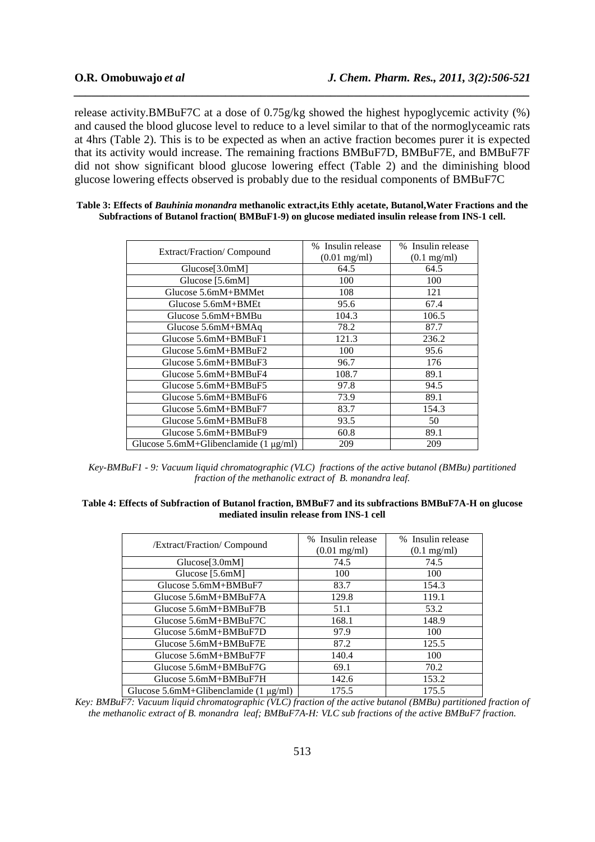release activity.BMBuF7C at a dose of 0.75g/kg showed the highest hypoglycemic activity (%) and caused the blood glucose level to reduce to a level similar to that of the normoglyceamic rats at 4hrs (Table 2). This is to be expected as when an active fraction becomes purer it is expected that its activity would increase. The remaining fractions BMBuF7D, BMBuF7E, and BMBuF7F did not show significant blood glucose lowering effect (Table 2) and the diminishing blood glucose lowering effects observed is probably due to the residual components of BMBuF7C

*\_\_\_\_\_\_\_\_\_\_\_\_\_\_\_\_\_\_\_\_\_\_\_\_\_\_\_\_\_\_\_\_\_\_\_\_\_\_\_\_\_\_\_\_\_\_\_\_\_\_\_\_\_\_\_\_\_\_\_\_\_\_\_\_\_\_\_\_\_\_\_\_\_\_\_\_\_\_*

|                                            | % Insulin release      | % Insulin release     |
|--------------------------------------------|------------------------|-----------------------|
| Extract/Fraction/Compound                  | $(0.01 \text{ mg/ml})$ | $(0.1 \text{ mg/ml})$ |
| Glucose[3.0mM]                             | 64.5                   | 64.5                  |
| Glucose [5.6mM]                            | 100                    | 100                   |
| Glucose 5.6mM+BMMet                        | 108                    | 121                   |
| Glucose 5.6mM+BMEt                         | 95.6                   | 67.4                  |
| Glucose 5.6mM+BMBu                         | 104.3                  | 106.5                 |
| Glucose 5.6mM+BMAq                         | 78.2                   | 87.7                  |
| Glucose 5.6mM+BMBuF1                       | 121.3                  | 236.2                 |
| Glucose $5.6mM+BMBuF2$                     | 100                    | 95.6                  |
| Glucose $5.6mM+BMBuF3$                     | 96.7                   | 176                   |
| Glucose $5.6mM+BMBuF4$                     | 108.7                  | 89.1                  |
| Glucose $5.6mM+BMBuF5$                     | 97.8                   | 94.5                  |
| Glucose 5.6mM+BMBuF6                       | 73.9                   | 89.1                  |
| Glucose $5.6mM+BMBuF7$                     | 83.7                   | 154.3                 |
| Glucose 5.6mM+BMBuF8                       | 93.5                   | 50                    |
| Glucose $5.6mM+BMBuF9$                     | 60.8                   | 89.1                  |
| Glucose 5.6mM+Glibenclamide $(1 \mu g/ml)$ | 209                    | 209                   |

| Table 3: Effects of Bauhinia monandra methanolic extract, its Ethly acetate, Butanol, Water Fractions and the |  |
|---------------------------------------------------------------------------------------------------------------|--|
| Subfractions of Butanol fraction (BMBuF1-9) on glucose mediated insulin release from INS-1 cell.              |  |

*Key-BMBuF1 - 9: Vacuum liquid chromatographic (VLC) fractions of the active butanol (BMBu) partitioned fraction of the methanolic extract of B. monandra leaf.* 

| Table 4: Effects of Subfraction of Butanol fraction, BMBuF7 and its subfractions BMBuF7A-H on glucose |
|-------------------------------------------------------------------------------------------------------|
| mediated insulin release from INS-1 cell                                                              |

|                                            | % Insulin release      | % Insulin release     |
|--------------------------------------------|------------------------|-----------------------|
| /Extract/Fraction/ Compound                | $(0.01 \text{ mg/ml})$ | $(0.1 \text{ mg/ml})$ |
| Glucose[3.0mM]                             | 74.5                   | 74.5                  |
| Glucose [5.6mM]                            | 100                    | 100                   |
| Glucose 5.6mM+BMBuF7                       | 83.7                   | 154.3                 |
| Glucose 5.6mM+BMBuF7A                      | 129.8                  | 119.1                 |
| $Glucose 5.6mM+BMBuF7B$                    | 51.1                   | 53.2                  |
| Glucose $5.6mM + BMBuF7C$                  | 168.1                  | 148.9                 |
| $Glucose 5.6mM+BMBuF7D$                    | 97.9                   | 100                   |
| Glucose 5.6mM+BMBuF7E                      | 87.2                   | 125.5                 |
| Glucose $5.6mM+BMBuF7F$                    | 140.4                  | 100                   |
| Glucose 5.6mM+BMBuF7G                      | 69.1                   | 70.2                  |
| Glucose 5.6mM+BMBuF7H                      | 142.6                  | 153.2                 |
| Glucose 5.6mM+Glibenclamide $(1 \mu g/ml)$ | 175.5                  | 175.5                 |

*Key: BMBuF7: Vacuum liquid chromatographic (VLC) fraction of the active butanol (BMBu) partitioned fraction of the methanolic extract of B. monandra leaf; BMBuF7A-H: VLC sub fractions of the active BMBuF7 fraction.*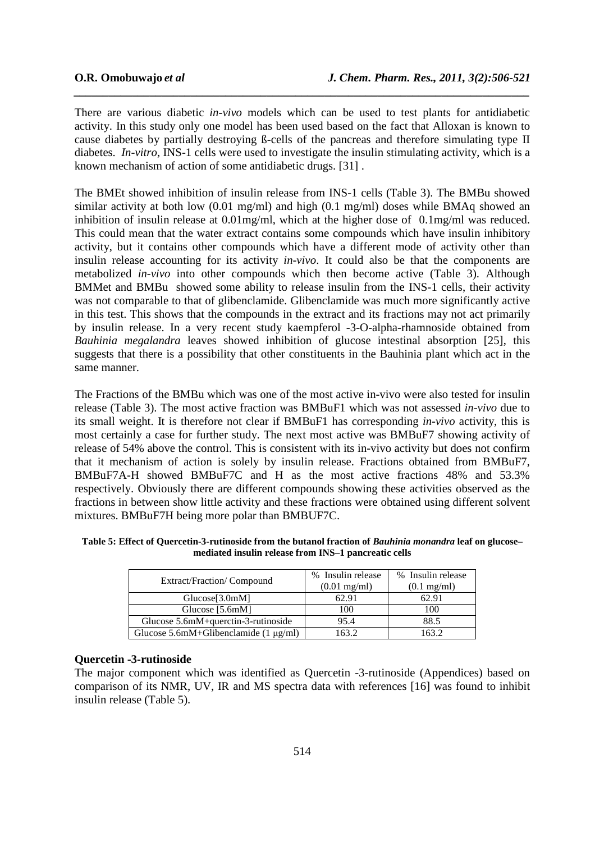There are various diabetic *in-vivo* models which can be used to test plants for antidiabetic activity. In this study only one model has been used based on the fact that Alloxan is known to cause diabetes by partially destroying ß-cells of the pancreas and therefore simulating type II diabetes. *In-vitro*, INS-1 cells were used to investigate the insulin stimulating activity, which is a known mechanism of action of some antidiabetic drugs. [31] .

*\_\_\_\_\_\_\_\_\_\_\_\_\_\_\_\_\_\_\_\_\_\_\_\_\_\_\_\_\_\_\_\_\_\_\_\_\_\_\_\_\_\_\_\_\_\_\_\_\_\_\_\_\_\_\_\_\_\_\_\_\_\_\_\_\_\_\_\_\_\_\_\_\_\_\_\_\_\_*

The BMEt showed inhibition of insulin release from INS-1 cells (Table 3). The BMBu showed similar activity at both low (0.01 mg/ml) and high (0.1 mg/ml) doses while BMAq showed an inhibition of insulin release at 0.01mg/ml, which at the higher dose of 0.1mg/ml was reduced. This could mean that the water extract contains some compounds which have insulin inhibitory activity, but it contains other compounds which have a different mode of activity other than insulin release accounting for its activity *in-vivo*. It could also be that the components are metabolized *in-vivo* into other compounds which then become active (Table 3). Although BMMet and BMBu showed some ability to release insulin from the INS-1 cells, their activity was not comparable to that of glibenclamide. Glibenclamide was much more significantly active in this test. This shows that the compounds in the extract and its fractions may not act primarily by insulin release. In a very recent study kaempferol -3-O-alpha-rhamnoside obtained from *Bauhinia megalandra* leaves showed inhibition of glucose intestinal absorption [25], this suggests that there is a possibility that other constituents in the Bauhinia plant which act in the same manner.

The Fractions of the BMBu which was one of the most active in-vivo were also tested for insulin release (Table 3). The most active fraction was BMBuF1 which was not assessed *in-vivo* due to its small weight. It is therefore not clear if BMBuF1 has corresponding *in-vivo* activity, this is most certainly a case for further study. The next most active was BMBuF7 showing activity of release of 54% above the control. This is consistent with its in-vivo activity but does not confirm that it mechanism of action is solely by insulin release. Fractions obtained from BMBuF7, BMBuF7A-H showed BMBuF7C and H as the most active fractions 48% and 53.3% respectively. Obviously there are different compounds showing these activities observed as the fractions in between show little activity and these fractions were obtained using different solvent mixtures. BMBuF7H being more polar than BMBUF7C.

| Extract/Fraction/Compound           | % Insulin release      | % Insulin release     |
|-------------------------------------|------------------------|-----------------------|
|                                     | $(0.01 \text{ mg/ml})$ | $(0.1 \text{ mg/ml})$ |
| Glucose[3.0mM]                      | 62.91                  | 62.91                 |
| Glucose [5.6mM]                     | 100                    | 100                   |
| Glucose 5.6mM+querctin-3-rutinoside |                        | 88.5                  |

Glucose 5.6mM+Glibenclamide (1 µg/ml) 163.2 163.2

**Table 5: Effect of Quercetin-3-rutinoside from the butanol fraction of** *Bauhinia monandra* **leaf on glucose– mediated insulin release from INS–1 pancreatic cells** 

### **Quercetin -3-rutinoside**

The major component which was identified as Quercetin -3-rutinoside (Appendices) based on comparison of its NMR, UV, IR and MS spectra data with references [16] was found to inhibit insulin release (Table 5).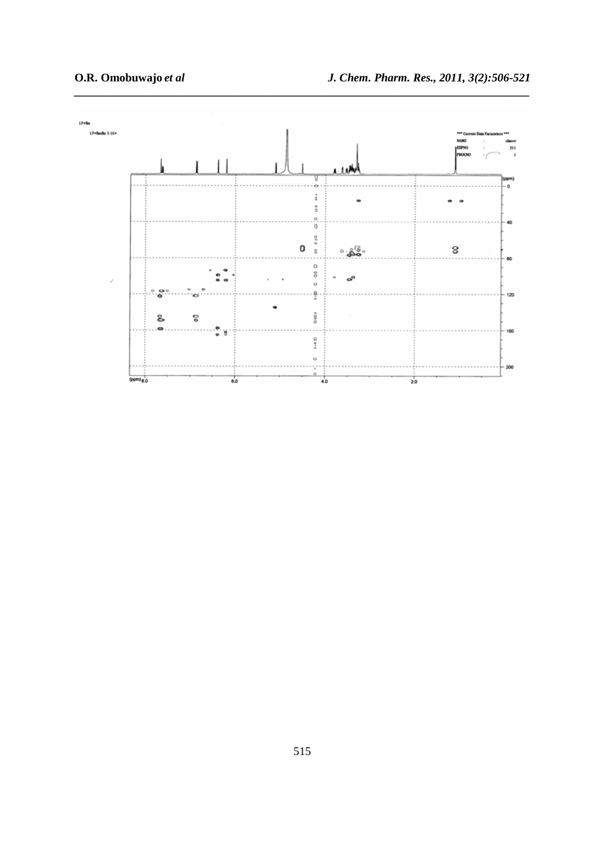

*\_\_\_\_\_\_\_\_\_\_\_\_\_\_\_\_\_\_\_\_\_\_\_\_\_\_\_\_\_\_\_\_\_\_\_\_\_\_\_\_\_\_\_\_\_\_\_\_\_\_\_\_\_\_\_\_\_\_\_\_\_\_\_\_\_\_\_\_\_\_\_\_\_\_\_\_\_\_*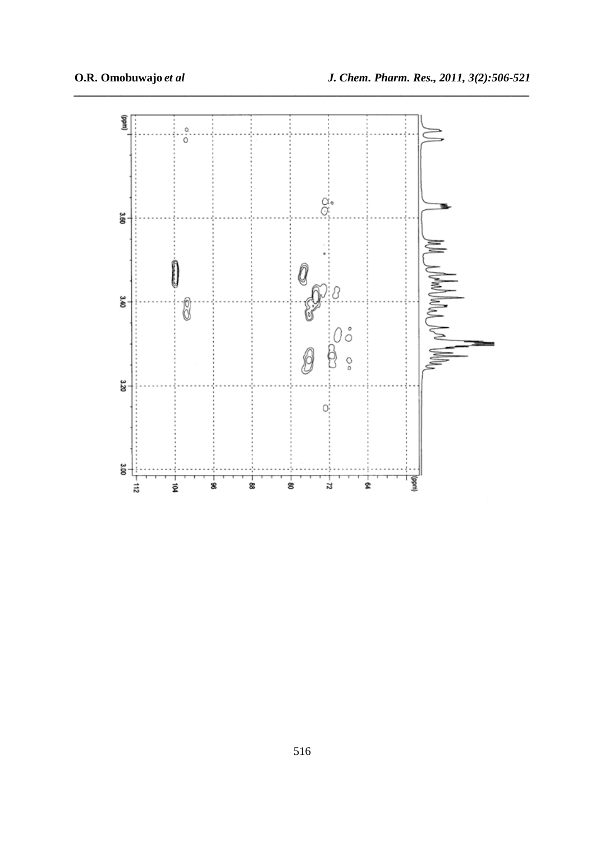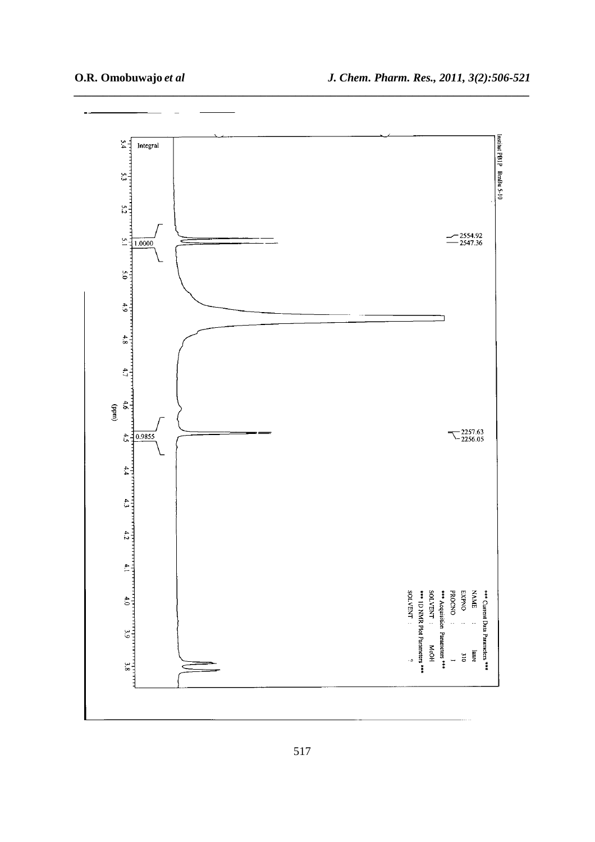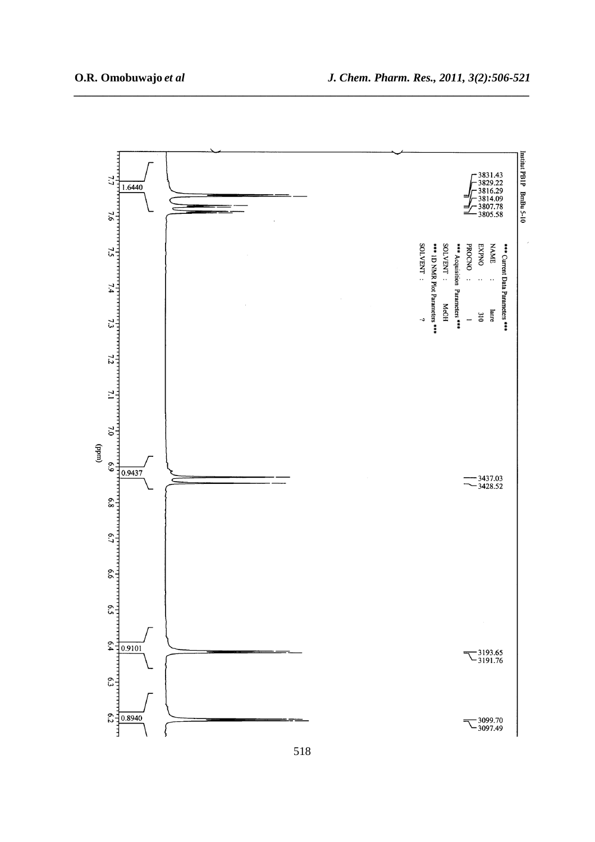

*\_\_\_\_\_\_\_\_\_\_\_\_\_\_\_\_\_\_\_\_\_\_\_\_\_\_\_\_\_\_\_\_\_\_\_\_\_\_\_\_\_\_\_\_\_\_\_\_\_\_\_\_\_\_\_\_\_\_\_\_\_\_\_\_\_\_\_\_\_\_\_\_\_\_\_\_\_\_*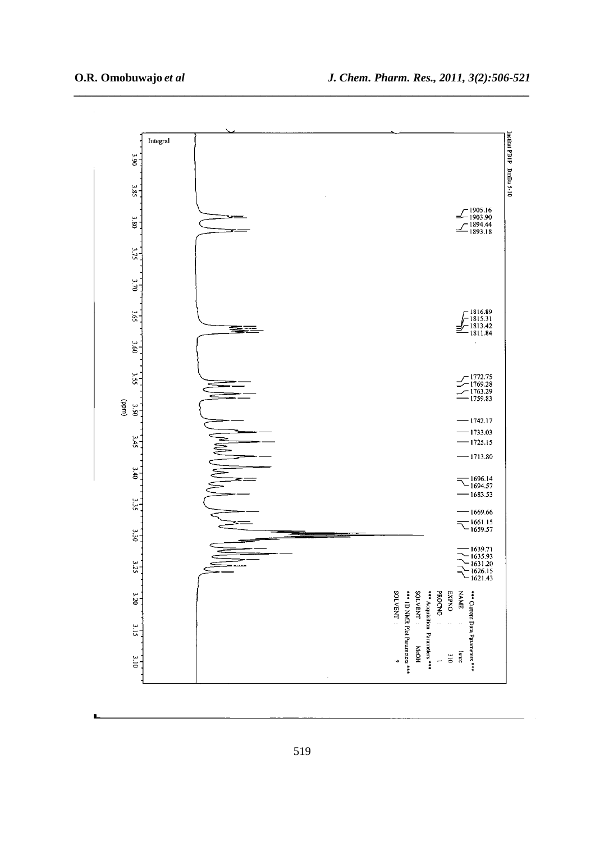

519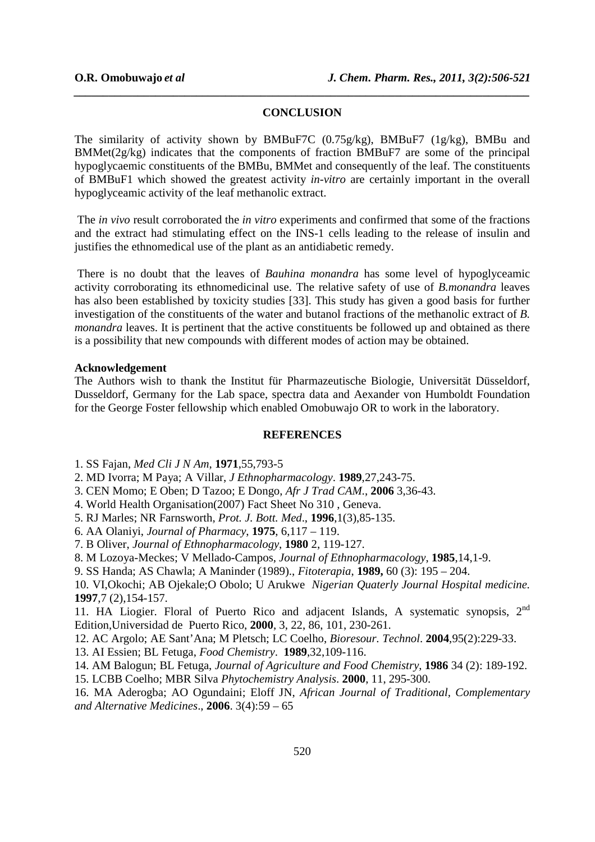# **CONCLUSION**

*\_\_\_\_\_\_\_\_\_\_\_\_\_\_\_\_\_\_\_\_\_\_\_\_\_\_\_\_\_\_\_\_\_\_\_\_\_\_\_\_\_\_\_\_\_\_\_\_\_\_\_\_\_\_\_\_\_\_\_\_\_\_\_\_\_\_\_\_\_\_\_\_\_\_\_\_\_\_*

The similarity of activity shown by BMBuF7C (0.75g/kg), BMBuF7 (1g/kg), BMBu and BMMet(2g/kg) indicates that the components of fraction BMBuF7 are some of the principal hypoglycaemic constituents of the BMBu, BMMet and consequently of the leaf. The constituents of BMBuF1 which showed the greatest activity *in-vitro* are certainly important in the overall hypoglyceamic activity of the leaf methanolic extract.

The *in vivo* result corroborated the *in vitro* experiments and confirmed that some of the fractions and the extract had stimulating effect on the INS-1 cells leading to the release of insulin and justifies the ethnomedical use of the plant as an antidiabetic remedy.

 There is no doubt that the leaves of *Bauhina monandra* has some level of hypoglyceamic activity corroborating its ethnomedicinal use. The relative safety of use of *B.monandra* leaves has also been established by toxicity studies [33]. This study has given a good basis for further investigation of the constituents of the water and butanol fractions of the methanolic extract of *B. monandra* leaves. It is pertinent that the active constituents be followed up and obtained as there is a possibility that new compounds with different modes of action may be obtained.

### **Acknowledgement**

The Authors wish to thank the Institut für Pharmazeutische Biologie, Universität Düsseldorf, Dusseldorf, Germany for the Lab space, spectra data and Aexander von Humboldt Foundation for the George Foster fellowship which enabled Omobuwajo OR to work in the laboratory.

## **REFERENCES**

- 1. SS Fajan, *Med Cli J N Am*, **1971**,55,793-5
- 2. MD Ivorra; M Paya; A Villar, *J Ethnopharmacology*. **1989**,27,243-75.
- 3. CEN Momo; E Oben; D Tazoo; E Dongo, *Afr J Trad CAM*., **2006** 3,36-43.
- 4. World Health Organisation(2007) Fact Sheet No 310 , Geneva.
- 5. RJ Marles; NR Farnsworth, *Prot. J. Bott. Med*., **1996**,1(3),85-135.
- 6. AA Olaniyi, *Journal of Pharmacy*, **1975**, 6,117 119.
- 7. B Oliver, *Journal of Ethnopharmacology*, **1980** 2, 119-127.

8. M Lozoya-Meckes; V Mellado-Campos, *Journal of Ethnopharmacology*, **1985**,14,1-9.

9. SS Handa; AS Chawla; A Maninder (1989)., *Fitoterapia*, **1989,** 60 (3): 195 – 204.

10. VI,Okochi; AB Ojekale;O Obolo; U Arukwe *Nigerian Quaterly Journal Hospital medicine.* **1997**,7 (2),154-157.

11. HA Liogier. Floral of Puerto Rico and adjacent Islands, A systematic synopsis, 2<sup>nd</sup> Edition,Universidad de Puerto Rico, **2000**, 3, 22, 86, 101, 230-261.

12. AC Argolo; AE Sant'Ana; M Pletsch; LC Coelho, *Bioresour. Technol*. **2004**,95(2):229-33.

- 13. AI Essien; BL Fetuga, *Food Chemistry*. **1989**,32,109-116.
- 14. AM Balogun; BL Fetuga, *Journal of Agriculture and Food Chemistry*, **1986** 34 (2): 189-192.
- 15. LCBB Coelho; MBR Silva *Phytochemistry Analysis*. **2000**, 11, 295-300.

16. MA Aderogba; AO Ogundaini; Eloff JN, *African Journal of Traditional, Complementary and Alternative Medicines*., **2006**. 3(4):59 – 65